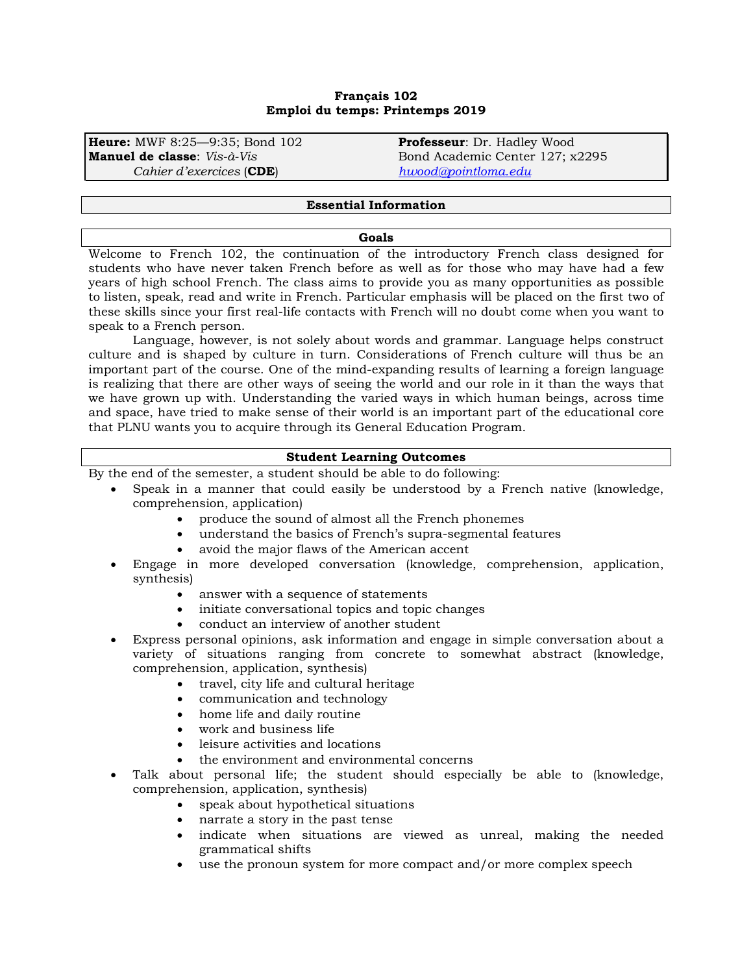## **Français 102 Emploi du temps: Printemps 2019**

**Heure:** MWF 8:25—9:35; Bond 102 **Professeur**: Dr. Hadley Wood *Cahier d'exercices* (**CDE**) *[hwood@pointloma.edu](mailto:hwood@pointloma.edu)*

Bond Academic Center 127; x2295

#### **Essential Information**

#### **Goals**

Welcome to French 102, the continuation of the introductory French class designed for students who have never taken French before as well as for those who may have had a few years of high school French. The class aims to provide you as many opportunities as possible to listen, speak, read and write in French. Particular emphasis will be placed on the first two of these skills since your first real-life contacts with French will no doubt come when you want to speak to a French person.

Language, however, is not solely about words and grammar. Language helps construct culture and is shaped by culture in turn. Considerations of French culture will thus be an important part of the course. One of the mind-expanding results of learning a foreign language is realizing that there are other ways of seeing the world and our role in it than the ways that we have grown up with. Understanding the varied ways in which human beings, across time and space, have tried to make sense of their world is an important part of the educational core that PLNU wants you to acquire through its General Education Program.

#### **Student Learning Outcomes**

By the end of the semester, a student should be able to do following:

- Speak in a manner that could easily be understood by a French native (knowledge, comprehension, application)
	- produce the sound of almost all the French phonemes
	- understand the basics of French's supra-segmental features
	- avoid the major flaws of the American accent
- Engage in more developed conversation (knowledge, comprehension, application, synthesis)
	- answer with a sequence of statements
	- initiate conversational topics and topic changes
	- conduct an interview of another student
- Express personal opinions, ask information and engage in simple conversation about a variety of situations ranging from concrete to somewhat abstract (knowledge, comprehension, application, synthesis)
	- travel, city life and cultural heritage
	- communication and technology
	- home life and daily routine
	- work and business life
	- leisure activities and locations
	- the environment and environmental concerns
- Talk about personal life; the student should especially be able to (knowledge, comprehension, application, synthesis)
	- speak about hypothetical situations
	- narrate a story in the past tense
	- indicate when situations are viewed as unreal, making the needed grammatical shifts
	- use the pronoun system for more compact and/or more complex speech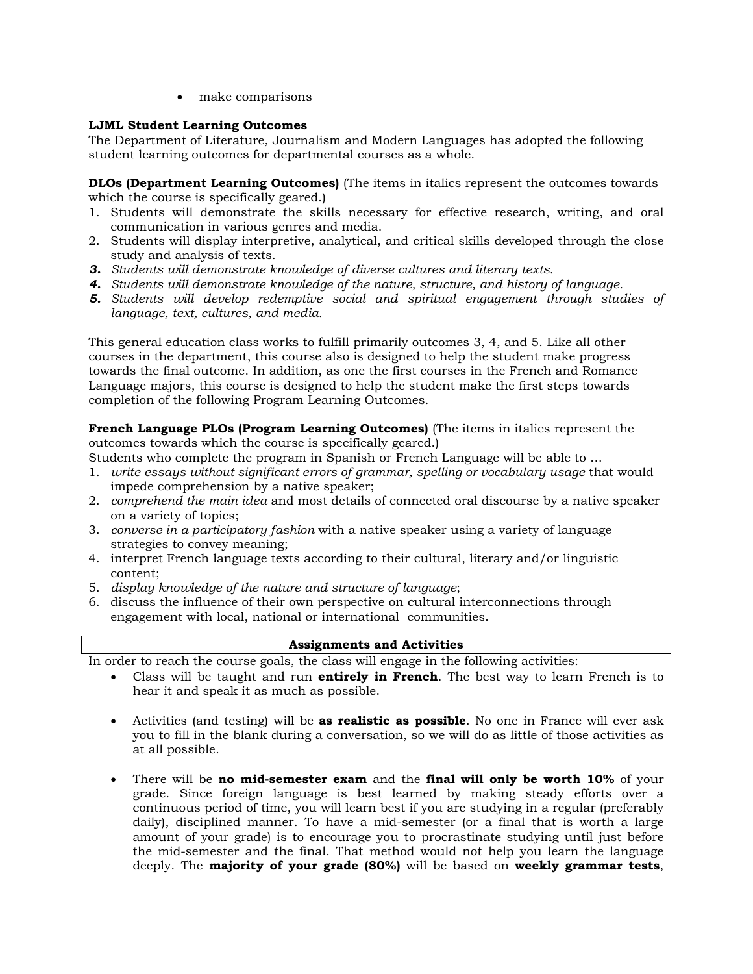• make comparisons

# **LJML Student Learning Outcomes**

The Department of Literature, Journalism and Modern Languages has adopted the following student learning outcomes for departmental courses as a whole.

**DLOs (Department Learning Outcomes)** (The items in italics represent the outcomes towards which the course is specifically geared.)

- 1. Students will demonstrate the skills necessary for effective research, writing, and oral communication in various genres and media.
- 2. Students will display interpretive, analytical, and critical skills developed through the close study and analysis of texts.
- *3. Students will demonstrate knowledge of diverse cultures and literary texts.*
- *4. Students will demonstrate knowledge of the nature, structure, and history of language.*
- *5. Students will develop redemptive social and spiritual engagement through studies of language, text, cultures, and media.*

This general education class works to fulfill primarily outcomes 3, 4, and 5. Like all other courses in the department, this course also is designed to help the student make progress towards the final outcome. In addition, as one the first courses in the French and Romance Language majors, this course is designed to help the student make the first steps towards completion of the following Program Learning Outcomes.

**French Language PLOs (Program Learning Outcomes)** (The items in italics represent the outcomes towards which the course is specifically geared.)

Students who complete the program in Spanish or French Language will be able to …

- 1. *write essays without significant errors of grammar, spelling or vocabulary usage* that would impede comprehension by a native speaker;
- 2. *comprehend the main idea* and most details of connected oral discourse by a native speaker on a variety of topics;
- 3. *converse in a participatory fashion* with a native speaker using a variety of language strategies to convey meaning;
- 4. interpret French language texts according to their cultural, literary and/or linguistic content;
- 5. *display knowledge of the nature and structure of language*;
- 6. discuss the influence of their own perspective on cultural interconnections through engagement with local, national or international communities.

# **Assignments and Activities**

In order to reach the course goals, the class will engage in the following activities:

- Class will be taught and run **entirely in French**. The best way to learn French is to hear it and speak it as much as possible.
- Activities (and testing) will be **as realistic as possible**. No one in France will ever ask you to fill in the blank during a conversation, so we will do as little of those activities as at all possible.
- There will be **no mid-semester exam** and the **final will only be worth 10%** of your grade. Since foreign language is best learned by making steady efforts over a continuous period of time, you will learn best if you are studying in a regular (preferably daily), disciplined manner. To have a mid-semester (or a final that is worth a large amount of your grade) is to encourage you to procrastinate studying until just before the mid-semester and the final. That method would not help you learn the language deeply. The **majority of your grade (80%)** will be based on **weekly grammar tests**,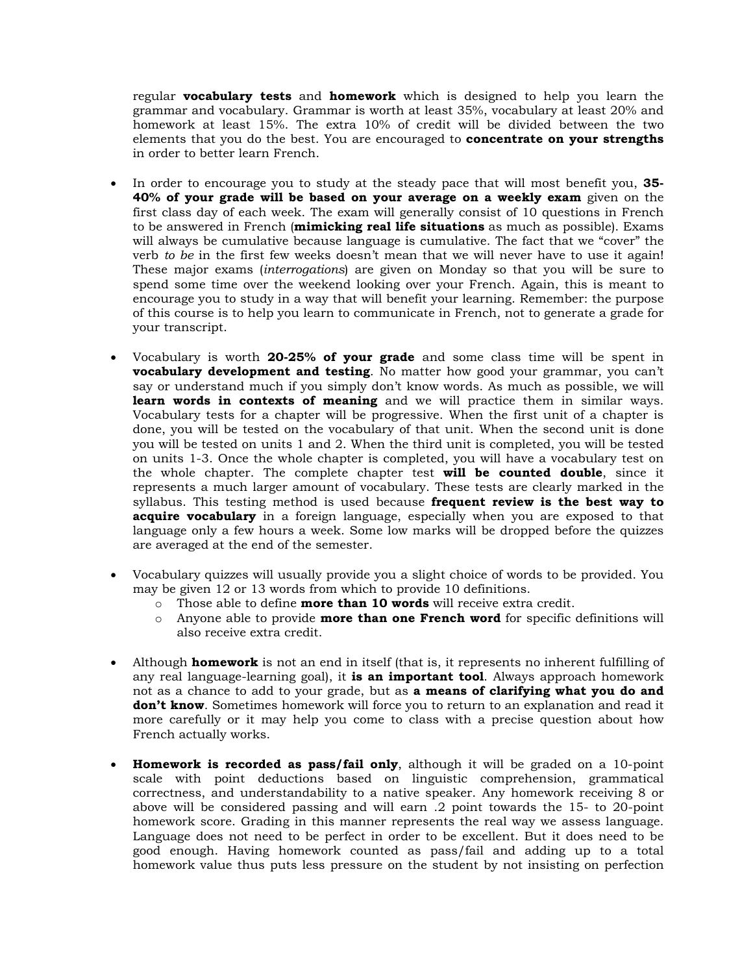regular **vocabulary tests** and **homework** which is designed to help you learn the grammar and vocabulary. Grammar is worth at least 35%, vocabulary at least 20% and homework at least 15%. The extra 10% of credit will be divided between the two elements that you do the best. You are encouraged to **concentrate on your strengths** in order to better learn French.

- In order to encourage you to study at the steady pace that will most benefit you, **35- 40% of your grade will be based on your average on a weekly exam** given on the first class day of each week. The exam will generally consist of 10 questions in French to be answered in French (**mimicking real life situations** as much as possible). Exams will always be cumulative because language is cumulative. The fact that we "cover" the verb *to be* in the first few weeks doesn't mean that we will never have to use it again! These major exams (*interrogations*) are given on Monday so that you will be sure to spend some time over the weekend looking over your French. Again, this is meant to encourage you to study in a way that will benefit your learning. Remember: the purpose of this course is to help you learn to communicate in French, not to generate a grade for your transcript.
- Vocabulary is worth **20-25% of your grade** and some class time will be spent in **vocabulary development and testing**. No matter how good your grammar, you can't say or understand much if you simply don't know words. As much as possible, we will **learn words in contexts of meaning** and we will practice them in similar ways. Vocabulary tests for a chapter will be progressive. When the first unit of a chapter is done, you will be tested on the vocabulary of that unit. When the second unit is done you will be tested on units 1 and 2. When the third unit is completed, you will be tested on units 1-3. Once the whole chapter is completed, you will have a vocabulary test on the whole chapter. The complete chapter test **will be counted double**, since it represents a much larger amount of vocabulary. These tests are clearly marked in the syllabus. This testing method is used because **frequent review is the best way to acquire vocabulary** in a foreign language, especially when you are exposed to that language only a few hours a week. Some low marks will be dropped before the quizzes are averaged at the end of the semester.
- Vocabulary quizzes will usually provide you a slight choice of words to be provided. You may be given 12 or 13 words from which to provide 10 definitions.
	- o Those able to define **more than 10 words** will receive extra credit.
	- o Anyone able to provide **more than one French word** for specific definitions will also receive extra credit.
- Although **homework** is not an end in itself (that is, it represents no inherent fulfilling of any real language-learning goal), it **is an important tool**. Always approach homework not as a chance to add to your grade, but as **a means of clarifying what you do and don't know**. Sometimes homework will force you to return to an explanation and read it more carefully or it may help you come to class with a precise question about how French actually works.
- **Homework is recorded as pass/fail only**, although it will be graded on a 10-point scale with point deductions based on linguistic comprehension, grammatical correctness, and understandability to a native speaker. Any homework receiving 8 or above will be considered passing and will earn .2 point towards the 15- to 20-point homework score. Grading in this manner represents the real way we assess language. Language does not need to be perfect in order to be excellent. But it does need to be good enough. Having homework counted as pass/fail and adding up to a total homework value thus puts less pressure on the student by not insisting on perfection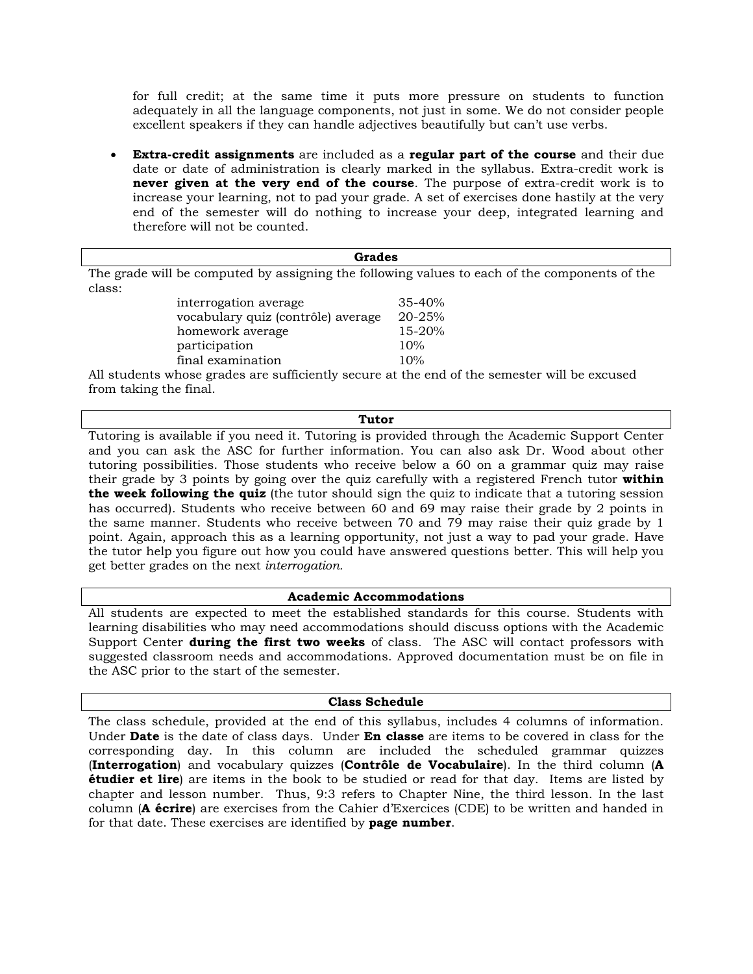for full credit; at the same time it puts more pressure on students to function adequately in all the language components, not just in some. We do not consider people excellent speakers if they can handle adjectives beautifully but can't use verbs.

• **Extra-credit assignments** are included as a **regular part of the course** and their due date or date of administration is clearly marked in the syllabus. Extra-credit work is **never given at the very end of the course**. The purpose of extra-credit work is to increase your learning, not to pad your grade. A set of exercises done hastily at the very end of the semester will do nothing to increase your deep, integrated learning and therefore will not be counted.

| Grades                                                                                        |            |  |  |  |
|-----------------------------------------------------------------------------------------------|------------|--|--|--|
| The grade will be computed by assigning the following values to each of the components of the |            |  |  |  |
| class:                                                                                        |            |  |  |  |
| interrogation average                                                                         | $35 - 40%$ |  |  |  |
| vocabulary quiz (contrôle) average                                                            | 20-25%     |  |  |  |
| homework average                                                                              | 15-20%     |  |  |  |
| participation                                                                                 | 10%        |  |  |  |
| final examination                                                                             | 10%        |  |  |  |
| All students whose grades are sufficiently secure at the end of the semester will be excused  |            |  |  |  |
| from taking the final.                                                                        |            |  |  |  |
|                                                                                               |            |  |  |  |

## **Tutor**

Tutoring is available if you need it. Tutoring is provided through the Academic Support Center and you can ask the ASC for further information. You can also ask Dr. Wood about other tutoring possibilities. Those students who receive below a 60 on a grammar quiz may raise their grade by 3 points by going over the quiz carefully with a registered French tutor **within the week following the quiz** (the tutor should sign the quiz to indicate that a tutoring session has occurred). Students who receive between 60 and 69 may raise their grade by 2 points in the same manner. Students who receive between 70 and 79 may raise their quiz grade by 1 point. Again, approach this as a learning opportunity, not just a way to pad your grade. Have the tutor help you figure out how you could have answered questions better. This will help you get better grades on the next *interrogation.*

## **Academic Accommodations**

All students are expected to meet the established standards for this course. Students with learning disabilities who may need accommodations should discuss options with the Academic Support Center **during the first two weeks** of class. The ASC will contact professors with suggested classroom needs and accommodations. Approved documentation must be on file in the ASC prior to the start of the semester.

## **Class Schedule**

The class schedule, provided at the end of this syllabus, includes 4 columns of information. Under **Date** is the date of class days. Under **En classe** are items to be covered in class for the corresponding day. In this column are included the scheduled grammar quizzes (**Interrogation**) and vocabulary quizzes (**Contrôle de Vocabulaire**). In the third column (**A étudier et lire**) are items in the book to be studied or read for that day. Items are listed by chapter and lesson number. Thus, 9:3 refers to Chapter Nine, the third lesson. In the last column (**A écrire**) are exercises from the Cahier d'Exercices (CDE) to be written and handed in for that date. These exercises are identified by **page number**.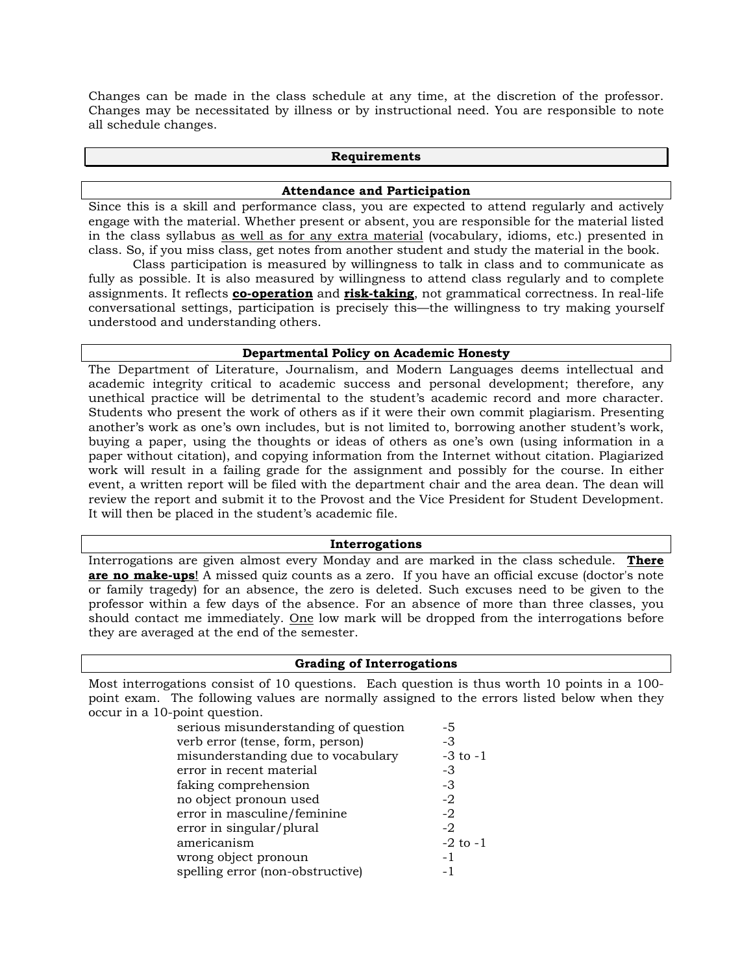Changes can be made in the class schedule at any time, at the discretion of the professor. Changes may be necessitated by illness or by instructional need. You are responsible to note all schedule changes.

#### **Requirements**

#### **Attendance and Participation**

Since this is a skill and performance class, you are expected to attend regularly and actively engage with the material. Whether present or absent, you are responsible for the material listed in the class syllabus as well as for any extra material (vocabulary, idioms, etc.) presented in class. So, if you miss class, get notes from another student and study the material in the book.

Class participation is measured by willingness to talk in class and to communicate as fully as possible. It is also measured by willingness to attend class regularly and to complete assignments. It reflects **co-operation** and **risk-taking**, not grammatical correctness. In real-life conversational settings, participation is precisely this—the willingness to try making yourself understood and understanding others.

## **Departmental Policy on Academic Honesty**

The Department of Literature, Journalism, and Modern Languages deems intellectual and academic integrity critical to academic success and personal development; therefore, any unethical practice will be detrimental to the student's academic record and more character. Students who present the work of others as if it were their own commit plagiarism. Presenting another's work as one's own includes, but is not limited to, borrowing another student's work, buying a paper, using the thoughts or ideas of others as one's own (using information in a paper without citation), and copying information from the Internet without citation. Plagiarized work will result in a failing grade for the assignment and possibly for the course. In either event, a written report will be filed with the department chair and the area dean. The dean will review the report and submit it to the Provost and the Vice President for Student Development. It will then be placed in the student's academic file.

#### **Interrogations**

Interrogations are given almost every Monday and are marked in the class schedule. **There are no make-ups**! A missed quiz counts as a zero. If you have an official excuse (doctor's note or family tragedy) for an absence, the zero is deleted. Such excuses need to be given to the professor within a few days of the absence. For an absence of more than three classes, you should contact me immediately. One low mark will be dropped from the interrogations before they are averaged at the end of the semester.

## **Grading of Interrogations**

Most interrogations consist of 10 questions. Each question is thus worth 10 points in a 100 point exam. The following values are normally assigned to the errors listed below when they occur in a 10-point question.

| serious misunderstanding of question | -5           |
|--------------------------------------|--------------|
| verb error (tense, form, person)     | -3           |
| misunderstanding due to vocabulary   | $-3$ to $-1$ |
| error in recent material             | -3           |
| faking comprehension                 | -3           |
| no object pronoun used               | -2           |
| error in masculine/feminine          | $-2$         |
| error in singular/plural             | $-2$         |
| americanism                          | $-2$ to $-1$ |
| wrong object pronoun                 | $-1$         |
| spelling error (non-obstructive)     | - 1          |
|                                      |              |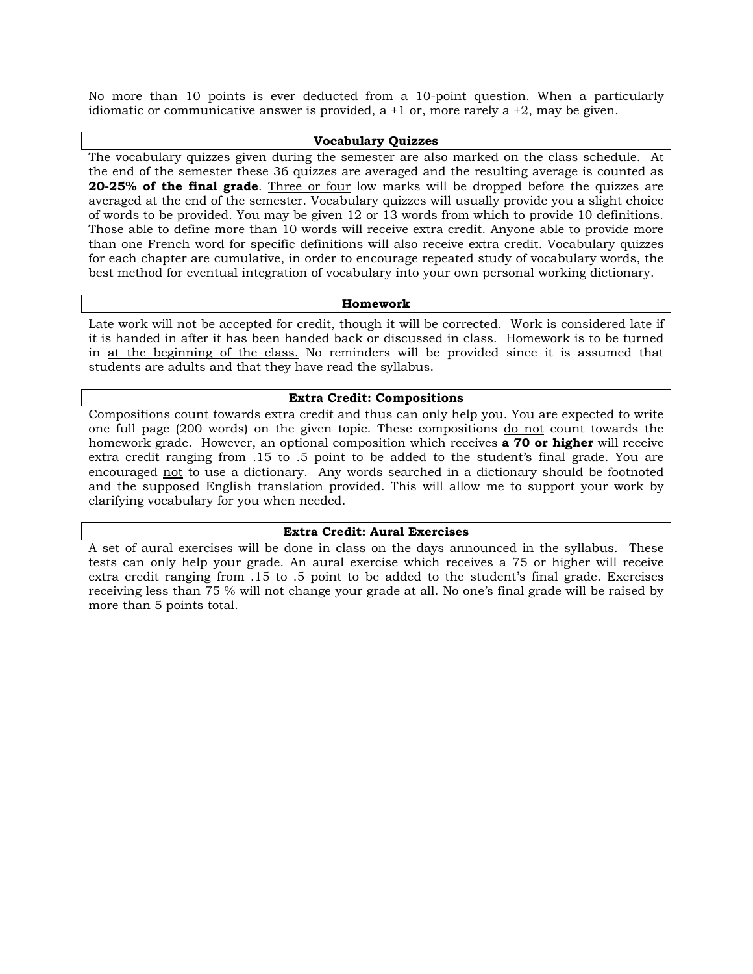No more than 10 points is ever deducted from a 10-point question. When a particularly idiomatic or communicative answer is provided, a  $+1$  or, more rarely a  $+2$ , may be given.

## **Vocabulary Quizzes**

The vocabulary quizzes given during the semester are also marked on the class schedule. At the end of the semester these 36 quizzes are averaged and the resulting average is counted as **20-25% of the final grade**. Three or four low marks will be dropped before the quizzes are averaged at the end of the semester. Vocabulary quizzes will usually provide you a slight choice of words to be provided. You may be given 12 or 13 words from which to provide 10 definitions. Those able to define more than 10 words will receive extra credit. Anyone able to provide more than one French word for specific definitions will also receive extra credit. Vocabulary quizzes for each chapter are cumulative, in order to encourage repeated study of vocabulary words, the best method for eventual integration of vocabulary into your own personal working dictionary.

## **Homework**

Late work will not be accepted for credit, though it will be corrected. Work is considered late if it is handed in after it has been handed back or discussed in class. Homework is to be turned in at the beginning of the class. No reminders will be provided since it is assumed that students are adults and that they have read the syllabus.

## **Extra Credit: Compositions**

Compositions count towards extra credit and thus can only help you. You are expected to write one full page (200 words) on the given topic. These compositions do not count towards the homework grade. However, an optional composition which receives **a 70 or higher** will receive extra credit ranging from .15 to .5 point to be added to the student's final grade. You are encouraged not to use a dictionary. Any words searched in a dictionary should be footnoted and the supposed English translation provided. This will allow me to support your work by clarifying vocabulary for you when needed.

## **Extra Credit: Aural Exercises**

A set of aural exercises will be done in class on the days announced in the syllabus. These tests can only help your grade. An aural exercise which receives a 75 or higher will receive extra credit ranging from .15 to .5 point to be added to the student's final grade. Exercises receiving less than 75 % will not change your grade at all. No one's final grade will be raised by more than 5 points total.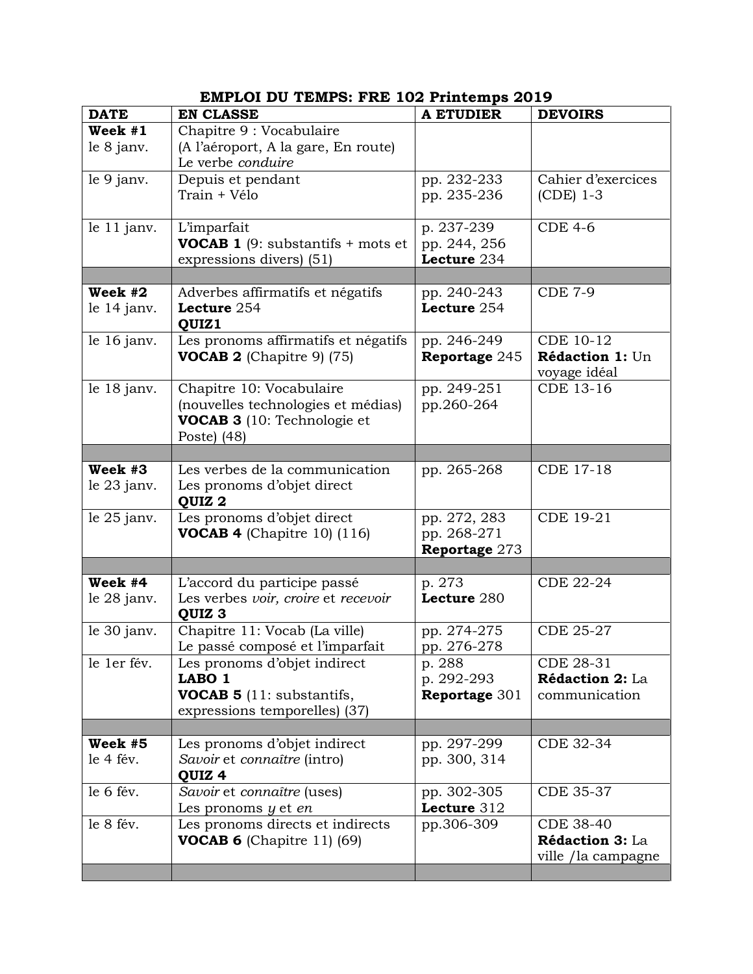| <b>DATE</b>   | <b>EN CLASSE</b>                                 | <b>A ETUDIER</b> | <b>DEVOIRS</b>            |
|---------------|--------------------------------------------------|------------------|---------------------------|
| Week #1       | Chapitre 9 : Vocabulaire                         |                  |                           |
| le 8 janv.    | (A l'aéroport, A la gare, En route)              |                  |                           |
|               | Le verbe conduire                                |                  |                           |
| le 9 janv.    | Depuis et pendant                                | pp. 232-233      | Cahier d'exercices        |
|               | Train + Vélo                                     | pp. 235-236      | (CDE) 1-3                 |
|               |                                                  |                  |                           |
| le 11 janv.   | L'imparfait                                      | p. 237-239       | <b>CDE 4-6</b>            |
|               | <b>VOCAB 1</b> (9: substantifs $+$ mots et       | pp. 244, 256     |                           |
|               | expressions divers) (51)                         | Lecture 234      |                           |
|               |                                                  |                  |                           |
| Week #2       | Adverbes affirmatifs et négatifs                 | pp. 240-243      | <b>CDE 7-9</b>            |
| le $14$ janv. | Lecture 254                                      | Lecture 254      |                           |
|               | QUIZ1                                            |                  |                           |
| le 16 janv.   | Les pronoms affirmatifs et négatifs              | pp. 246-249      | CDE 10-12                 |
|               | <b>VOCAB 2</b> (Chapitre 9) $(75)$               | Reportage 245    | Rédaction 1: Un           |
| le 18 janv.   | Chapitre 10: Vocabulaire                         | pp. 249-251      | voyage idéal<br>CDE 13-16 |
|               | (nouvelles technologies et médias)               | pp.260-264       |                           |
|               | VOCAB 3 (10: Technologie et                      |                  |                           |
|               | Poste) (48)                                      |                  |                           |
|               |                                                  |                  |                           |
| Week #3       | Les verbes de la communication                   | pp. 265-268      | <b>CDE 17-18</b>          |
| le $23$ janv. | Les pronoms d'objet direct                       |                  |                           |
|               | QUIZ <sub>2</sub>                                |                  |                           |
| le $25$ janv. | Les pronoms d'objet direct                       | pp. 272, 283     | <b>CDE 19-21</b>          |
|               | <b>VOCAB 4</b> (Chapitre 10) $(116)$             | pp. 268-271      |                           |
|               |                                                  | Reportage 273    |                           |
|               |                                                  |                  |                           |
| Week #4       | L'accord du participe passé                      | p. 273           | CDE 22-24                 |
| le $28$ janv. | Les verbes voir, croire et recevoir              | Lecture 280      |                           |
|               | QUIZ <sub>3</sub>                                |                  |                           |
| le 30 janv.   | Chapitre 11: Vocab (La ville)                    | pp. 274-275      | <b>CDE 25-27</b>          |
|               | Le passé composé et l'imparfait                  | pp. 276-278      |                           |
| le 1er fév.   | Les pronoms d'objet indirect                     | p. 288           | CDE 28-31                 |
|               | LABO <sub>1</sub>                                | p. 292-293       | Rédaction 2: La           |
|               | <b>VOCAB 5</b> (11: substantifs,                 | Reportage 301    | communication             |
|               | expressions temporelles) (37)                    |                  |                           |
| Week #5       |                                                  |                  |                           |
|               | Les pronoms d'objet indirect                     | pp. 297-299      | CDE 32-34                 |
| le 4 fév.     | Savoir et connaître (intro)<br>QUIZ <sub>4</sub> | pp. 300, 314     |                           |
| le 6 fév.     | Savoir et connaître (uses)                       | pp. 302-305      | <b>CDE 35-37</b>          |
|               | Les pronoms $y$ et $en$                          | Lecture 312      |                           |
| le 8 fév.     | Les pronoms directs et indirects                 | pp.306-309       | <b>CDE 38-40</b>          |
|               | <b>VOCAB 6</b> (Chapitre 11) $(69)$              |                  | Rédaction 3: La           |
|               |                                                  |                  | ville /la campagne        |
|               |                                                  |                  |                           |

# **EMPLOI DU TEMPS: FRE 102 Printemps 2019**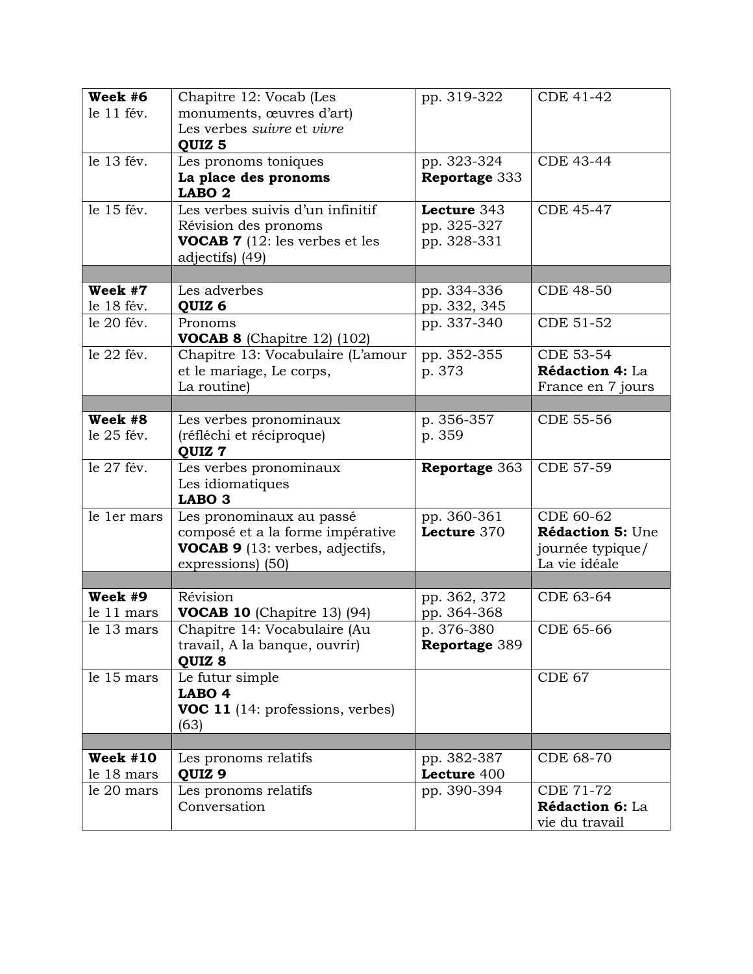| Week #6                  | Chapitre 12: Vocab (Les                                     | pp. 319-322                 | <b>CDE 41-42</b>                  |
|--------------------------|-------------------------------------------------------------|-----------------------------|-----------------------------------|
| le 11 fév.               | monuments, œuvres d'art)                                    |                             |                                   |
|                          | Les verbes suivre et vivre                                  |                             |                                   |
|                          | QUIZ <sub>5</sub>                                           |                             |                                   |
| le 13 fév.               | Les pronoms toniques                                        | pp. 323-324                 | <b>CDE 43-44</b>                  |
|                          | La place des pronoms                                        | Reportage 333               |                                   |
|                          | LABO <sub>2</sub>                                           |                             |                                   |
| le 15 fév.               | Les verbes suivis d'un infinitif                            | Lecture 343                 | <b>CDE 45-47</b>                  |
|                          | Révision des pronoms                                        | pp. 325-327                 |                                   |
|                          | <b>VOCAB 7</b> (12: les verbes et les                       | pp. 328-331                 |                                   |
|                          | adjectifs) (49)                                             |                             |                                   |
| Week #7                  | Les adverbes                                                |                             | <b>CDE 48-50</b>                  |
| le 18 fév.               |                                                             | pp. 334-336                 |                                   |
| le 20 fév.               | QUIZ <sub>6</sub><br>Pronoms                                | pp. 332, 345<br>pp. 337-340 | <b>CDE 51-52</b>                  |
|                          | <b>VOCAB 8</b> (Chapitre 12) $(102)$                        |                             |                                   |
| le 22 fév.               | Chapitre 13: Vocabulaire (L'amour                           | pp. 352-355                 | <b>CDE 53-54</b>                  |
|                          | et le mariage, Le corps,                                    | p. 373                      | Rédaction 4: La                   |
|                          | La routine)                                                 |                             | France en 7 jours                 |
|                          |                                                             |                             |                                   |
| Week #8                  | Les verbes pronominaux                                      | p. 356-357                  | <b>CDE 55-56</b>                  |
| le 25 fév.               | (réfléchi et réciproque)<br>QUIZ 7                          | p. 359                      |                                   |
|                          |                                                             |                             |                                   |
| le 27 fév.               | Les verbes pronominaux                                      | <b>Reportage 363</b>        | CDE 57-59                         |
|                          | Les idiomatiques                                            |                             |                                   |
|                          | LABO <sub>3</sub>                                           |                             |                                   |
| le 1er mars              | Les pronominaux au passé                                    | pp. 360-361                 | CDE 60-62                         |
|                          | composé et a la forme impérative                            | Lecture 370                 | Rédaction 5: Une                  |
|                          | <b>VOCAB 9</b> (13: verbes, adjectifs,<br>expressions) (50) |                             | journée typique/<br>La vie idéale |
|                          |                                                             |                             |                                   |
| Week #9                  | Révision                                                    | pp. 362, 372                | CDE 63-64                         |
| le 11 mars               | VOCAB 10 (Chapitre 13) (94)                                 | pp. 364-368                 |                                   |
| le 13 mars               | Chapitre 14: Vocabulaire (Au                                | p. 376-380                  | CDE 65-66                         |
|                          | travail, A la banque, ouvrir)                               | Reportage 389               |                                   |
|                          | QUIZ 8                                                      |                             |                                   |
| le 15 mars               | Le futur simple                                             |                             | CDE 67                            |
|                          | LABO <sub>4</sub>                                           |                             |                                   |
|                          | VOC 11 (14: professions, verbes)                            |                             |                                   |
|                          | (63)                                                        |                             |                                   |
|                          |                                                             |                             |                                   |
| Week $#10$<br>le 18 mars | Les pronoms relatifs<br>QUIZ <sub>9</sub>                   | pp. 382-387<br>Lecture 400  | <b>CDE 68-70</b>                  |
| le 20 mars               | Les pronoms relatifs                                        | pp. 390-394                 | <b>CDE 71-72</b>                  |
|                          | Conversation                                                |                             | Rédaction 6: La<br>vie du travail |